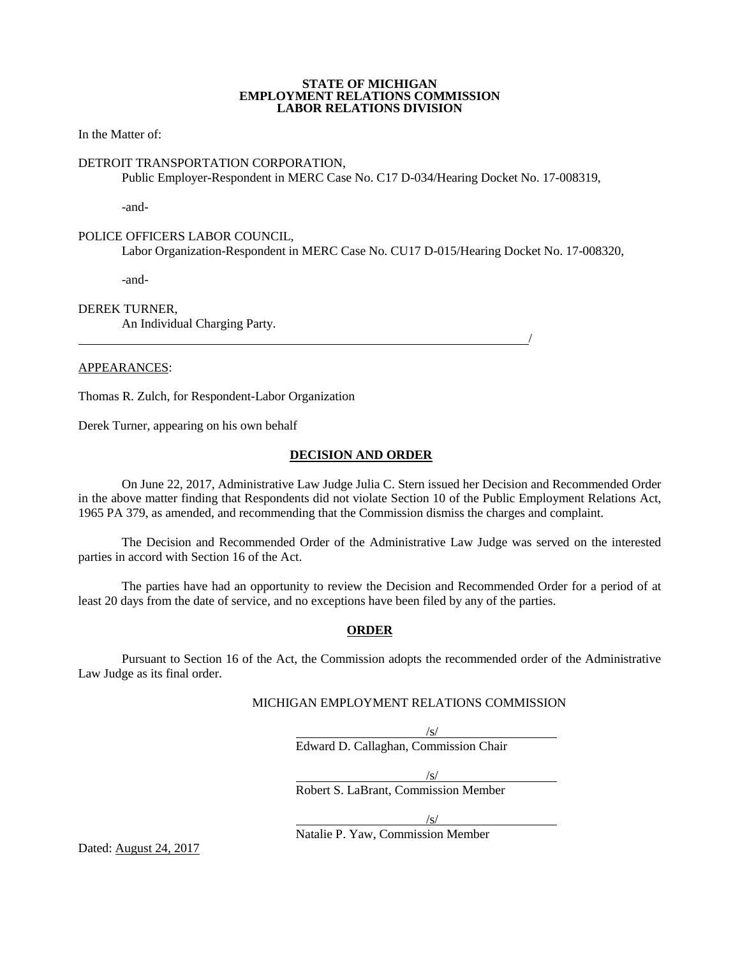#### **STATE OF MICHIGAN EMPLOYMENT RELATIONS COMMISSION LABOR RELATIONS DIVISION**

In the Matter of:

### DETROIT TRANSPORTATION CORPORATION,

Public Employer-Respondent in MERC Case No. C17 D-034/Hearing Docket No. 17-008319,

-and-

#### POLICE OFFICERS LABOR COUNCIL,

Labor Organization-Respondent in MERC Case No. CU17 D-015/Hearing Docket No. 17-008320,

-and-

#### DEREK TURNER,

An Individual Charging Party.

#### APPEARANCES:

Thomas R. Zulch, for Respondent-Labor Organization

Derek Turner, appearing on his own behalf

### **DECISION AND ORDER**

<u>/</u>

On June 22, 2017, Administrative Law Judge Julia C. Stern issued her Decision and Recommended Order in the above matter finding that Respondents did not violate Section 10 of the Public Employment Relations Act, 1965 PA 379, as amended, and recommending that the Commission dismiss the charges and complaint.

The Decision and Recommended Order of the Administrative Law Judge was served on the interested parties in accord with Section 16 of the Act.

The parties have had an opportunity to review the Decision and Recommended Order for a period of at least 20 days from the date of service, and no exceptions have been filed by any of the parties.

### **ORDER**

Pursuant to Section 16 of the Act, the Commission adopts the recommended order of the Administrative Law Judge as its final order.

### MICHIGAN EMPLOYMENT RELATIONS COMMISSION

 $/s/$ Edward D. Callaghan, Commission Chair

/s/

Robert S. LaBrant, Commission Member

/s/

Natalie P. Yaw, Commission Member

Dated: August 24, 2017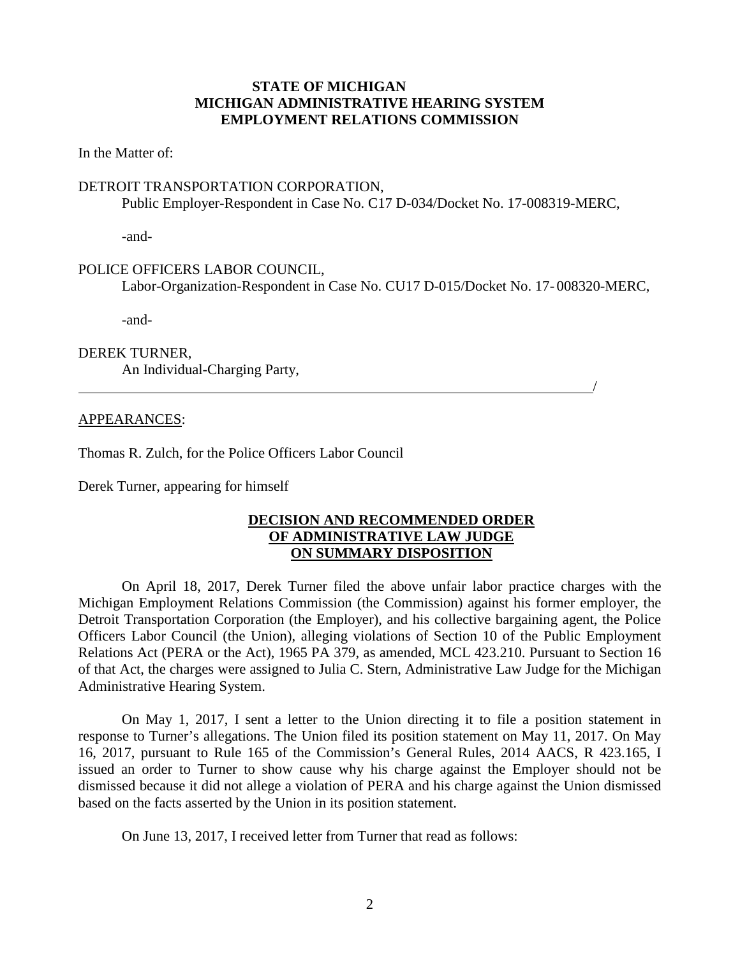# **STATE OF MICHIGAN MICHIGAN ADMINISTRATIVE HEARING SYSTEM EMPLOYMENT RELATIONS COMMISSION**

In the Matter of:

# DETROIT TRANSPORTATION CORPORATION,

Public Employer-Respondent in Case No. C17 D-034/Docket No. 17-008319-MERC,

-and-

### POLICE OFFICERS LABOR COUNCIL,

Labor-Organization-Respondent in Case No. CU17 D-015/Docket No. 17- 008320-MERC,

<u>/</u>

-and-

DEREK TURNER, An Individual-Charging Party,

### APPEARANCES:

Thomas R. Zulch, for the Police Officers Labor Council

Derek Turner, appearing for himself

### **DECISION AND RECOMMENDED ORDER OF ADMINISTRATIVE LAW JUDGE ON SUMMARY DISPOSITION**

On April 18, 2017, Derek Turner filed the above unfair labor practice charges with the Michigan Employment Relations Commission (the Commission) against his former employer, the Detroit Transportation Corporation (the Employer), and his collective bargaining agent, the Police Officers Labor Council (the Union), alleging violations of Section 10 of the Public Employment Relations Act (PERA or the Act), 1965 PA 379, as amended, MCL 423.210. Pursuant to Section 16 of that Act, the charges were assigned to Julia C. Stern, Administrative Law Judge for the Michigan Administrative Hearing System.

On May 1, 2017, I sent a letter to the Union directing it to file a position statement in response to Turner's allegations. The Union filed its position statement on May 11, 2017. On May 16, 2017, pursuant to Rule 165 of the Commission's General Rules, 2014 AACS, R 423.165, I issued an order to Turner to show cause why his charge against the Employer should not be dismissed because it did not allege a violation of PERA and his charge against the Union dismissed based on the facts asserted by the Union in its position statement.

On June 13, 2017, I received letter from Turner that read as follows: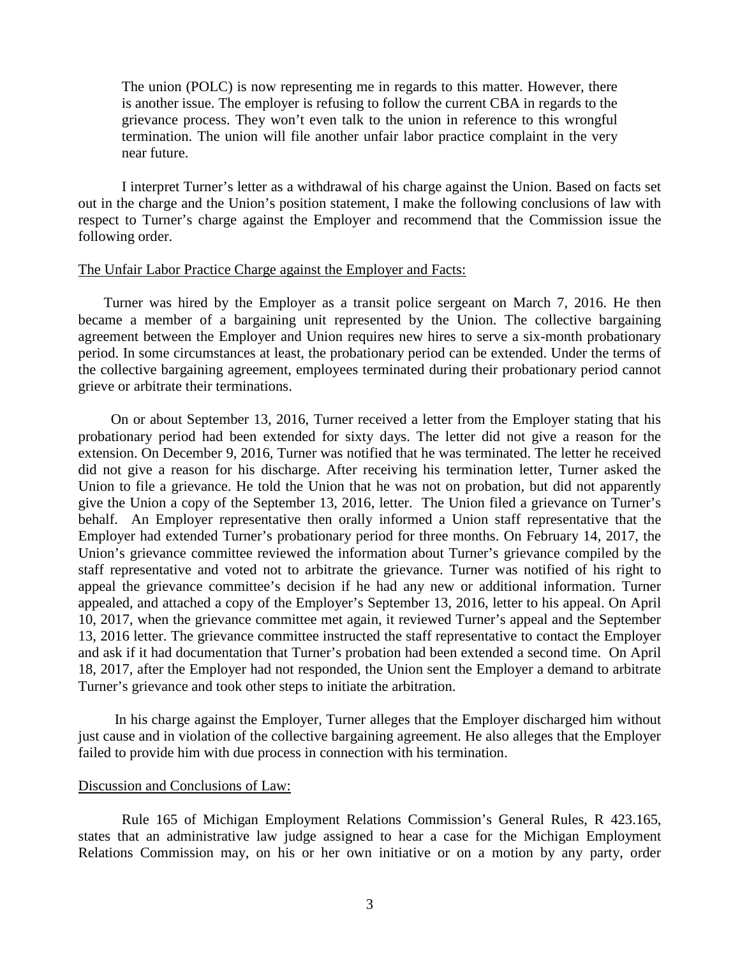The union (POLC) is now representing me in regards to this matter. However, there is another issue. The employer is refusing to follow the current CBA in regards to the grievance process. They won't even talk to the union in reference to this wrongful termination. The union will file another unfair labor practice complaint in the very near future.

I interpret Turner's letter as a withdrawal of his charge against the Union. Based on facts set out in the charge and the Union's position statement, I make the following conclusions of law with respect to Turner's charge against the Employer and recommend that the Commission issue the following order.

### The Unfair Labor Practice Charge against the Employer and Facts:

 Turner was hired by the Employer as a transit police sergeant on March 7, 2016. He then became a member of a bargaining unit represented by the Union. The collective bargaining agreement between the Employer and Union requires new hires to serve a six-month probationary period. In some circumstances at least, the probationary period can be extended. Under the terms of the collective bargaining agreement, employees terminated during their probationary period cannot grieve or arbitrate their terminations.

 On or about September 13, 2016, Turner received a letter from the Employer stating that his probationary period had been extended for sixty days. The letter did not give a reason for the extension. On December 9, 2016, Turner was notified that he was terminated. The letter he received did not give a reason for his discharge. After receiving his termination letter, Turner asked the Union to file a grievance. He told the Union that he was not on probation, but did not apparently give the Union a copy of the September 13, 2016, letter. The Union filed a grievance on Turner's behalf. An Employer representative then orally informed a Union staff representative that the Employer had extended Turner's probationary period for three months. On February 14, 2017, the Union's grievance committee reviewed the information about Turner's grievance compiled by the staff representative and voted not to arbitrate the grievance. Turner was notified of his right to appeal the grievance committee's decision if he had any new or additional information. Turner appealed, and attached a copy of the Employer's September 13, 2016, letter to his appeal. On April 10, 2017, when the grievance committee met again, it reviewed Turner's appeal and the September 13, 2016 letter. The grievance committee instructed the staff representative to contact the Employer and ask if it had documentation that Turner's probation had been extended a second time. On April 18, 2017, after the Employer had not responded, the Union sent the Employer a demand to arbitrate Turner's grievance and took other steps to initiate the arbitration.

 In his charge against the Employer, Turner alleges that the Employer discharged him without just cause and in violation of the collective bargaining agreement. He also alleges that the Employer failed to provide him with due process in connection with his termination.

### Discussion and Conclusions of Law:

Rule 165 of Michigan Employment Relations Commission's General Rules, R 423.165, states that an administrative law judge assigned to hear a case for the Michigan Employment Relations Commission may, on his or her own initiative or on a motion by any party, order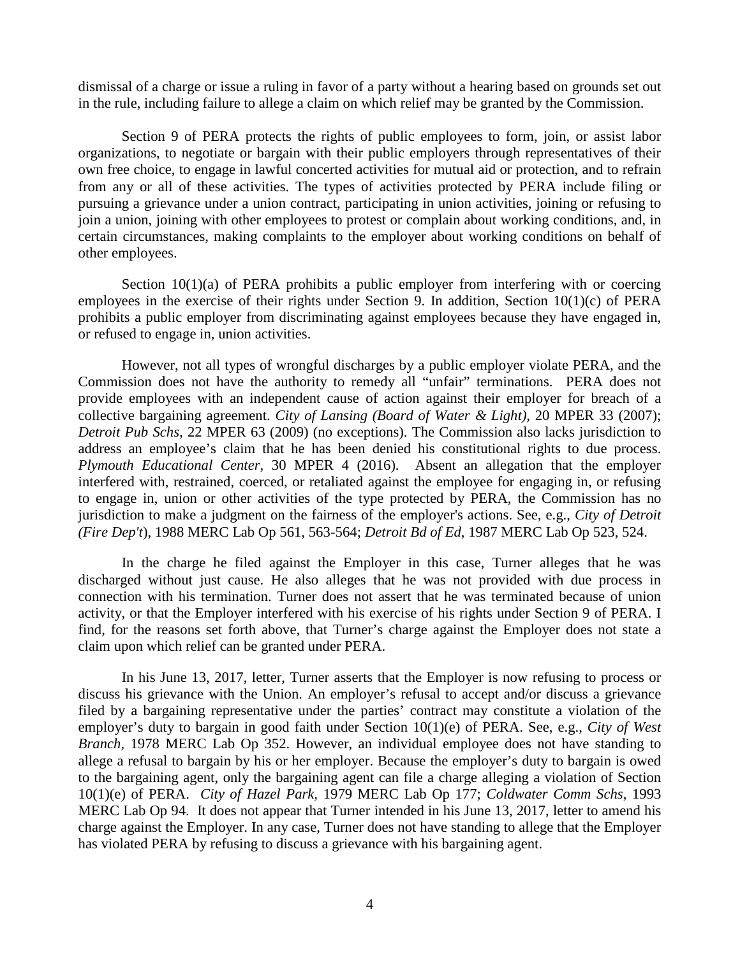dismissal of a charge or issue a ruling in favor of a party without a hearing based on grounds set out in the rule, including failure to allege a claim on which relief may be granted by the Commission.

Section 9 of PERA protects the rights of public employees to form, join, or assist labor organizations, to negotiate or bargain with their public employers through representatives of their own free choice, to engage in lawful concerted activities for mutual aid or protection, and to refrain from any or all of these activities. The types of activities protected by PERA include filing or pursuing a grievance under a union contract, participating in union activities, joining or refusing to join a union, joining with other employees to protest or complain about working conditions, and, in certain circumstances, making complaints to the employer about working conditions on behalf of other employees.

Section 10(1)(a) of PERA prohibits a public employer from interfering with or coercing employees in the exercise of their rights under Section 9. In addition, Section 10(1)(c) of PERA prohibits a public employer from discriminating against employees because they have engaged in, or refused to engage in, union activities.

However, not all types of wrongful discharges by a public employer violate PERA, and the Commission does not have the authority to remedy all "unfair" terminations. PERA does not provide employees with an independent cause of action against their employer for breach of a collective bargaining agreement. *City of Lansing (Board of Water & Light),* 20 MPER 33 (2007); *Detroit Pub Schs,* 22 MPER 63 (2009) (no exceptions). The Commission also lacks jurisdiction to address an employee's claim that he has been denied his constitutional rights to due process. *Plymouth Educational Center,* 30 MPER 4 (2016). Absent an allegation that the employer interfered with, restrained, coerced, or retaliated against the employee for engaging in, or refusing to engage in, union or other activities of the type protected by PERA, the Commission has no jurisdiction to make a judgment on the fairness of the employer's actions. See, e.g., *City of Detroit (Fire Dep't*), 1988 MERC Lab Op 561, 563-564; *Detroit Bd of Ed*, 1987 MERC Lab Op 523, 524.

In the charge he filed against the Employer in this case, Turner alleges that he was discharged without just cause. He also alleges that he was not provided with due process in connection with his termination. Turner does not assert that he was terminated because of union activity, or that the Employer interfered with his exercise of his rights under Section 9 of PERA. I find, for the reasons set forth above, that Turner's charge against the Employer does not state a claim upon which relief can be granted under PERA.

In his June 13, 2017, letter, Turner asserts that the Employer is now refusing to process or discuss his grievance with the Union. An employer's refusal to accept and/or discuss a grievance filed by a bargaining representative under the parties' contract may constitute a violation of the employer's duty to bargain in good faith under Section 10(1)(e) of PERA. See, e.g., *City of West Branch,* 1978 MERC Lab Op 352. However, an individual employee does not have standing to allege a refusal to bargain by his or her employer. Because the employer's duty to bargain is owed to the bargaining agent, only the bargaining agent can file a charge alleging a violation of Section 10(1)(e) of PERA. *City of Hazel Park,* 1979 MERC Lab Op 177; *Coldwater Comm Schs*, 1993 MERC Lab Op 94. It does not appear that Turner intended in his June 13, 2017, letter to amend his charge against the Employer. In any case, Turner does not have standing to allege that the Employer has violated PERA by refusing to discuss a grievance with his bargaining agent.